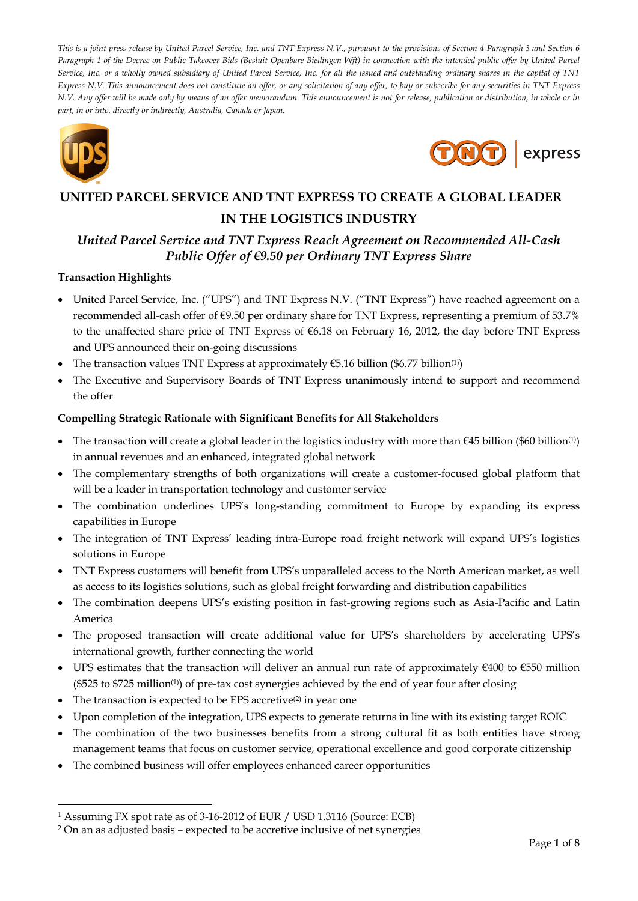*This is a joint press release by United Parcel Service, Inc. and TNT Express N.V., pursuant to the provisions of Section 4 Paragraph 3 and Section 6 Paragraph 1 of the Decree on Public Takeover Bids (Besluit Openbare Biedingen Wft) in connection with the intended public offer by United Parcel Service, Inc. or a wholly owned subsidiary of United Parcel Service, Inc. for all the issued and outstanding ordinary shares in the capital of TNT Express N.V. This announcement does not constitute an offer, or any solicitation of any offer, to buy or subscribe for any securities in TNT Express N.V. Any offer will be made only by means of an offer memorandum. This announcement is not for release, publication or distribution, in whole or in part, in or into, directly or indirectly, Australia, Canada or Japan.*



-



# **UNITED PARCEL SERVICE AND TNT EXPRESS TO CREATE A GLOBAL LEADER IN THE LOGISTICS INDUSTRY**

# *United Parcel Service and TNT Express Reach Agreement on Recommended All-Cash Public Offer of €9.50 per Ordinary TNT Express Share*

## **Transaction Highlights**

- United Parcel Service, Inc. ("UPS") and TNT Express N.V. ("TNT Express") have reached agreement on a recommended all-cash offer of €9.50 per ordinary share for TNT Express, representing a premium of 53.7% to the unaffected share price of TNT Express of €6.18 on February 16, 2012, the day before TNT Express and UPS announced their on-going discussions
- The transaction values TNT Express at approximately  $\epsilon$ 5.16 billion (\$6.77 billion<sup>(1)</sup>)
- The Executive and Supervisory Boards of TNT Express unanimously intend to support and recommend the offer

## **Compelling Strategic Rationale with Significant Benefits for All Stakeholders**

- The transaction will create a global leader in the logistics industry with more than  $\epsilon$ 45 billion (\$60 billion(1)) in annual revenues and an enhanced, integrated global network
- The complementary strengths of both organizations will create a customer-focused global platform that will be a leader in transportation technology and customer service
- The combination underlines UPS's long-standing commitment to Europe by expanding its express capabilities in Europe
- The integration of TNT Express' leading intra-Europe road freight network will expand UPS's logistics solutions in Europe
- TNT Express customers will benefit from UPS's unparalleled access to the North American market, as well as access to its logistics solutions, such as global freight forwarding and distribution capabilities
- The combination deepens UPS's existing position in fast-growing regions such as Asia-Pacific and Latin America
- The proposed transaction will create additional value for UPS's shareholders by accelerating UPS's international growth, further connecting the world
- UPS estimates that the transaction will deliver an annual run rate of approximately  $€400$  to  $€550$  million (\$525 to \$725 million(1)) of pre-tax cost synergies achieved by the end of year four after closing
- $\bullet$  The transaction is expected to be EPS accretive<sup>(2)</sup> in year one
- Upon completion of the integration, UPS expects to generate returns in line with its existing target ROIC
- The combination of the two businesses benefits from a strong cultural fit as both entities have strong management teams that focus on customer service, operational excellence and good corporate citizenship
- The combined business will offer employees enhanced career opportunities

<sup>1</sup> Assuming FX spot rate as of 3-16-2012 of EUR / USD 1.3116 (Source: ECB)

<sup>2</sup> On an as adjusted basis – expected to be accretive inclusive of net synergies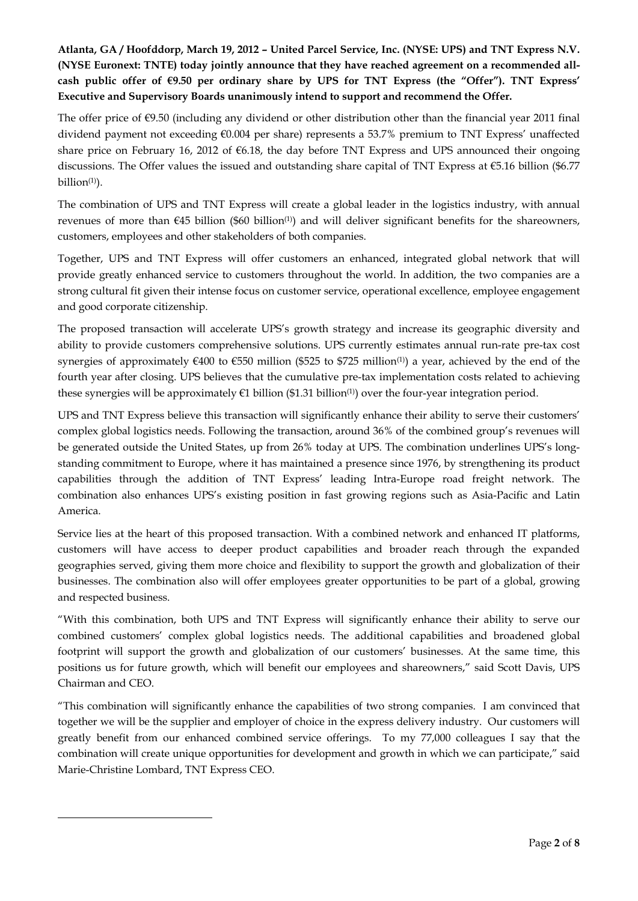## **Atlanta, GA / Hoofddorp, March 19, 2012 – United Parcel Service, Inc. (NYSE: UPS) and TNT Express N.V. (NYSE Euronext: TNTE) today jointly announce that they have reached agreement on a recommended allcash public offer of €9.50 per ordinary share by UPS for TNT Express (the "Offer"). TNT Express' Executive and Supervisory Boards unanimously intend to support and recommend the Offer.**

The offer price of €9.50 (including any dividend or other distribution other than the financial year 2011 final dividend payment not exceeding €0.004 per share) represents a 53.7% premium to TNT Express' unaffected share price on February 16, 2012 of €6.18, the day before TNT Express and UPS announced their ongoing discussions. The Offer values the issued and outstanding share capital of TNT Express at €5.16 billion (\$6.77 billion $(1)$ ).

The combination of UPS and TNT Express will create a global leader in the logistics industry, with annual revenues of more than  $\epsilon$ 45 billion (\$60 billion<sup>(1)</sup>) and will deliver significant benefits for the shareowners, customers, employees and other stakeholders of both companies.

Together, UPS and TNT Express will offer customers an enhanced, integrated global network that will provide greatly enhanced service to customers throughout the world. In addition, the two companies are a strong cultural fit given their intense focus on customer service, operational excellence, employee engagement and good corporate citizenship.

The proposed transaction will accelerate UPS's growth strategy and increase its geographic diversity and ability to provide customers comprehensive solutions. UPS currently estimates annual run-rate pre-tax cost synergies of approximately  $\epsilon$ 400 to  $\epsilon$ 550 million (\$525 to \$725 million<sup>(1)</sup>) a year, achieved by the end of the fourth year after closing. UPS believes that the cumulative pre-tax implementation costs related to achieving these synergies will be approximately  $\epsilon$ 1 billion (\$1.31 billion<sup>(1)</sup>) over the four-year integration period.

UPS and TNT Express believe this transaction will significantly enhance their ability to serve their customers' complex global logistics needs. Following the transaction, around 36% of the combined group's revenues will be generated outside the United States, up from 26% today at UPS. The combination underlines UPS's longstanding commitment to Europe, where it has maintained a presence since 1976, by strengthening its product capabilities through the addition of TNT Express' leading Intra-Europe road freight network. The combination also enhances UPS's existing position in fast growing regions such as Asia-Pacific and Latin America.

Service lies at the heart of this proposed transaction. With a combined network and enhanced IT platforms, customers will have access to deeper product capabilities and broader reach through the expanded geographies served, giving them more choice and flexibility to support the growth and globalization of their businesses. The combination also will offer employees greater opportunities to be part of a global, growing and respected business.

"With this combination, both UPS and TNT Express will significantly enhance their ability to serve our combined customers' complex global logistics needs. The additional capabilities and broadened global footprint will support the growth and globalization of our customers' businesses. At the same time, this positions us for future growth, which will benefit our employees and shareowners," said Scott Davis, UPS Chairman and CEO.

"This combination will significantly enhance the capabilities of two strong companies. I am convinced that together we will be the supplier and employer of choice in the express delivery industry. Our customers will greatly benefit from our enhanced combined service offerings. To my 77,000 colleagues I say that the combination will create unique opportunities for development and growth in which we can participate," said Marie-Christine Lombard, TNT Express CEO.

-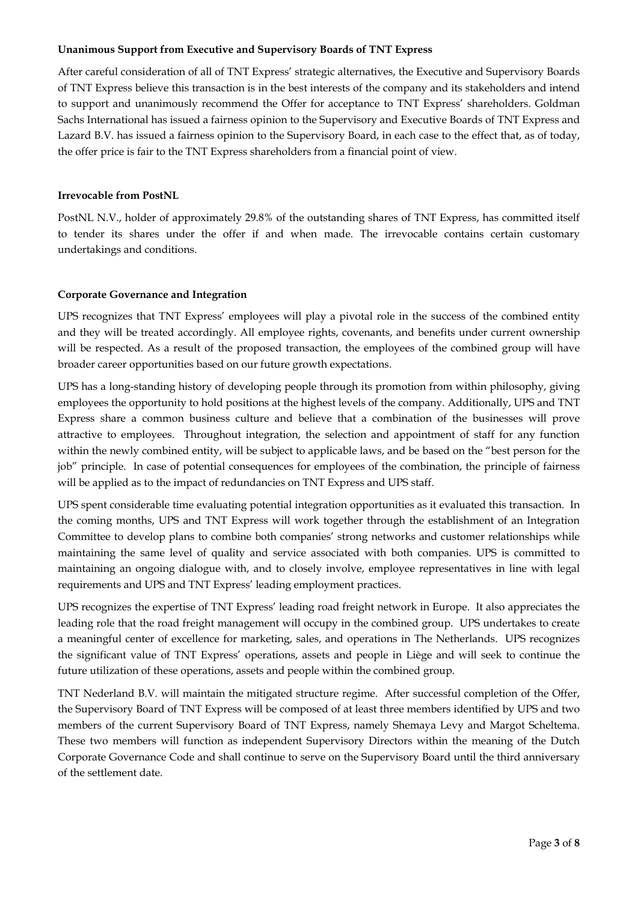## **Unanimous Support from Executive and Supervisory Boards of TNT Express**

After careful consideration of all of TNT Express' strategic alternatives, the Executive and Supervisory Boards of TNT Express believe this transaction is in the best interests of the company and its stakeholders and intend to support and unanimously recommend the Offer for acceptance to TNT Express' shareholders. Goldman Sachs International has issued a fairness opinion to the Supervisory and Executive Boards of TNT Express and Lazard B.V. has issued a fairness opinion to the Supervisory Board, in each case to the effect that, as of today, the offer price is fair to the TNT Express shareholders from a financial point of view.

#### **Irrevocable from PostNL**

PostNL N.V., holder of approximately 29.8% of the outstanding shares of TNT Express, has committed itself to tender its shares under the offer if and when made. The irrevocable contains certain customary undertakings and conditions.

#### **Corporate Governance and Integration**

UPS recognizes that TNT Express' employees will play a pivotal role in the success of the combined entity and they will be treated accordingly. All employee rights, covenants, and benefits under current ownership will be respected. As a result of the proposed transaction, the employees of the combined group will have broader career opportunities based on our future growth expectations.

UPS has a long-standing history of developing people through its promotion from within philosophy, giving employees the opportunity to hold positions at the highest levels of the company. Additionally, UPS and TNT Express share a common business culture and believe that a combination of the businesses will prove attractive to employees. Throughout integration, the selection and appointment of staff for any function within the newly combined entity, will be subject to applicable laws, and be based on the "best person for the job" principle. In case of potential consequences for employees of the combination, the principle of fairness will be applied as to the impact of redundancies on TNT Express and UPS staff.

UPS spent considerable time evaluating potential integration opportunities as it evaluated this transaction. In the coming months, UPS and TNT Express will work together through the establishment of an Integration Committee to develop plans to combine both companies' strong networks and customer relationships while maintaining the same level of quality and service associated with both companies. UPS is committed to maintaining an ongoing dialogue with, and to closely involve, employee representatives in line with legal requirements and UPS and TNT Express' leading employment practices.

UPS recognizes the expertise of TNT Express' leading road freight network in Europe. It also appreciates the leading role that the road freight management will occupy in the combined group. UPS undertakes to create a meaningful center of excellence for marketing, sales, and operations in The Netherlands. UPS recognizes the significant value of TNT Express' operations, assets and people in Liège and will seek to continue the future utilization of these operations, assets and people within the combined group.

TNT Nederland B.V. will maintain the mitigated structure regime. After successful completion of the Offer, the Supervisory Board of TNT Express will be composed of at least three members identified by UPS and two members of the current Supervisory Board of TNT Express, namely Shemaya Levy and Margot Scheltema. These two members will function as independent Supervisory Directors within the meaning of the Dutch Corporate Governance Code and shall continue to serve on the Supervisory Board until the third anniversary of the settlement date.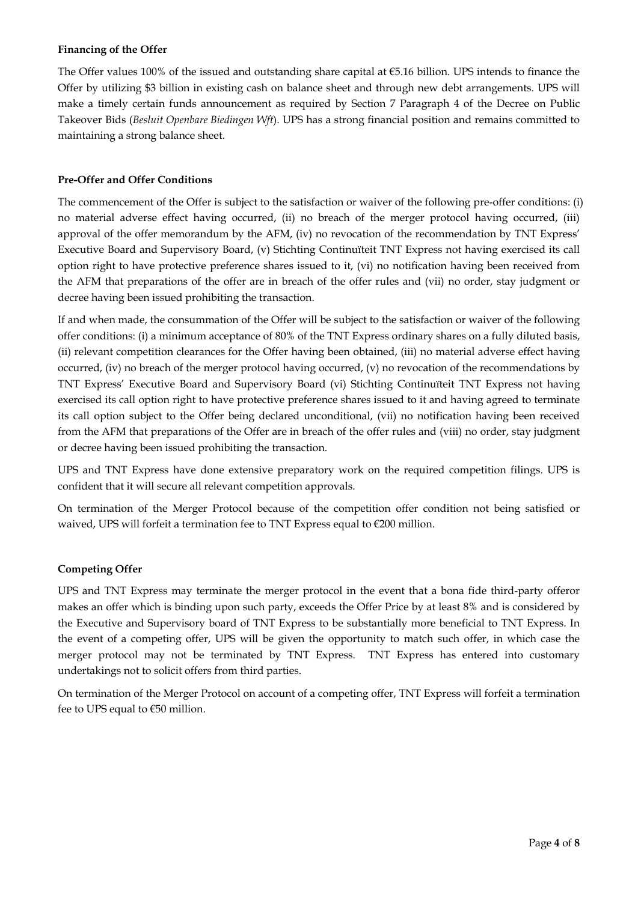## **Financing of the Offer**

The Offer values 100% of the issued and outstanding share capital at €5.16 billion. UPS intends to finance the Offer by utilizing \$3 billion in existing cash on balance sheet and through new debt arrangements. UPS will make a timely certain funds announcement as required by Section 7 Paragraph 4 of the Decree on Public Takeover Bids (*Besluit Openbare Biedingen Wft*). UPS has a strong financial position and remains committed to maintaining a strong balance sheet.

## **Pre-Offer and Offer Conditions**

The commencement of the Offer is subject to the satisfaction or waiver of the following pre-offer conditions: (i) no material adverse effect having occurred, (ii) no breach of the merger protocol having occurred, (iii) approval of the offer memorandum by the AFM, (iv) no revocation of the recommendation by TNT Express' Executive Board and Supervisory Board, (v) Stichting Continuïteit TNT Express not having exercised its call option right to have protective preference shares issued to it, (vi) no notification having been received from the AFM that preparations of the offer are in breach of the offer rules and (vii) no order, stay judgment or decree having been issued prohibiting the transaction.

If and when made, the consummation of the Offer will be subject to the satisfaction or waiver of the following offer conditions: (i) a minimum acceptance of 80% of the TNT Express ordinary shares on a fully diluted basis, (ii) relevant competition clearances for the Offer having been obtained, (iii) no material adverse effect having occurred, (iv) no breach of the merger protocol having occurred, (v) no revocation of the recommendations by TNT Express' Executive Board and Supervisory Board (vi) Stichting Continuïteit TNT Express not having exercised its call option right to have protective preference shares issued to it and having agreed to terminate its call option subject to the Offer being declared unconditional, (vii) no notification having been received from the AFM that preparations of the Offer are in breach of the offer rules and (viii) no order, stay judgment or decree having been issued prohibiting the transaction.

UPS and TNT Express have done extensive preparatory work on the required competition filings. UPS is confident that it will secure all relevant competition approvals.

On termination of the Merger Protocol because of the competition offer condition not being satisfied or waived, UPS will forfeit a termination fee to TNT Express equal to €200 million.

## **Competing Offer**

UPS and TNT Express may terminate the merger protocol in the event that a bona fide third-party offeror makes an offer which is binding upon such party, exceeds the Offer Price by at least 8% and is considered by the Executive and Supervisory board of TNT Express to be substantially more beneficial to TNT Express. In the event of a competing offer, UPS will be given the opportunity to match such offer, in which case the merger protocol may not be terminated by TNT Express. TNT Express has entered into customary undertakings not to solicit offers from third parties.

On termination of the Merger Protocol on account of a competing offer, TNT Express will forfeit a termination fee to UPS equal to €50 million.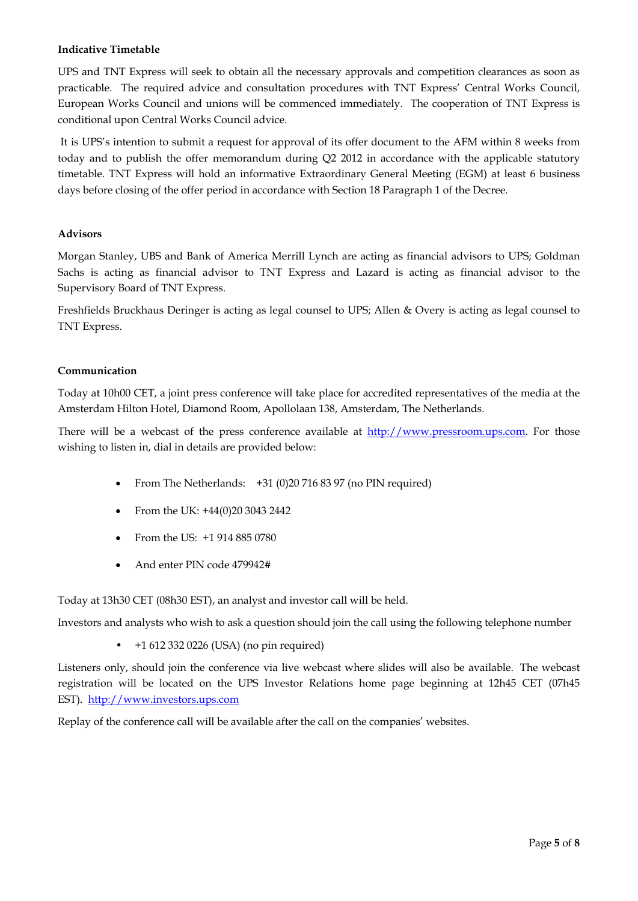## **Indicative Timetable**

UPS and TNT Express will seek to obtain all the necessary approvals and competition clearances as soon as practicable. The required advice and consultation procedures with TNT Express' Central Works Council, European Works Council and unions will be commenced immediately. The cooperation of TNT Express is conditional upon Central Works Council advice.

 It is UPS's intention to submit a request for approval of its offer document to the AFM within 8 weeks from today and to publish the offer memorandum during Q2 2012 in accordance with the applicable statutory timetable. TNT Express will hold an informative Extraordinary General Meeting (EGM) at least 6 business days before closing of the offer period in accordance with Section 18 Paragraph 1 of the Decree.

## **Advisors**

Morgan Stanley, UBS and Bank of America Merrill Lynch are acting as financial advisors to UPS; Goldman Sachs is acting as financial advisor to TNT Express and Lazard is acting as financial advisor to the Supervisory Board of TNT Express.

Freshfields Bruckhaus Deringer is acting as legal counsel to UPS; Allen & Overy is acting as legal counsel to TNT Express.

## **Communication**

Today at 10h00 CET, a joint press conference will take place for accredited representatives of the media at the Amsterdam Hilton Hotel, Diamond Room, Apollolaan 138, Amsterdam, The Netherlands.

There will be a webcast of the press conference available at http://www.pressroom.ups.com. For those wishing to listen in, dial in details are provided below:

- From The Netherlands: +31 (0)20 716 83 97 (no PIN required)
- From the UK: +44(0)20 3043 2442
- From the US: +1 914 885 0780
- And enter PIN code 479942#

Today at 13h30 CET (08h30 EST), an analyst and investor call will be held.

Investors and analysts who wish to ask a question should join the call using the following telephone number

• +1 612 332 0226 (USA) (no pin required)

Listeners only, should join the conference via live webcast where slides will also be available. The webcast registration will be located on the UPS Investor Relations home page beginning at 12h45 CET (07h45 EST). http://www.investors.ups.com

Replay of the conference call will be available after the call on the companies' websites.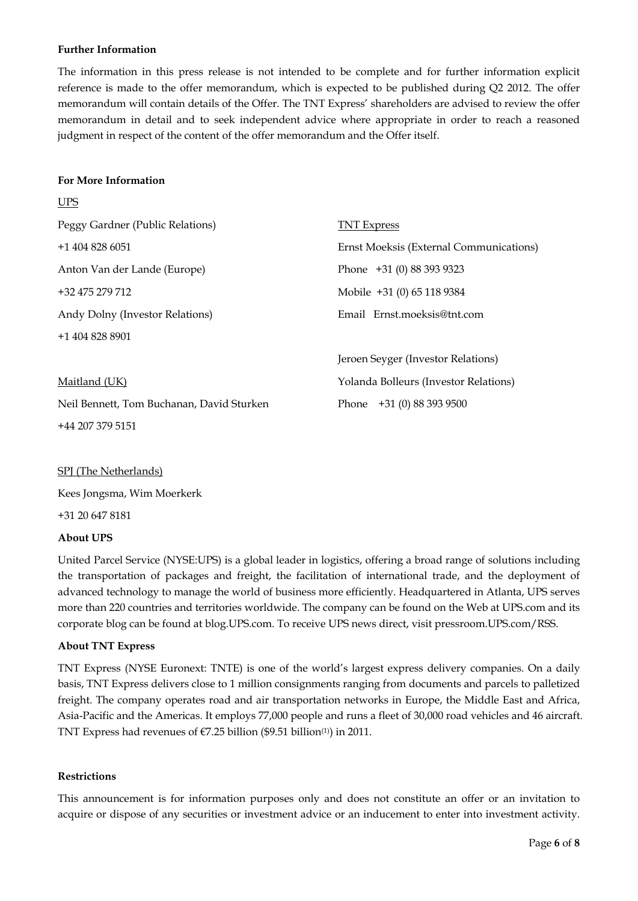## **Further Information**

The information in this press release is not intended to be complete and for further information explicit reference is made to the offer memorandum, which is expected to be published during Q2 2012. The offer memorandum will contain details of the Offer. The TNT Express' shareholders are advised to review the offer memorandum in detail and to seek independent advice where appropriate in order to reach a reasoned judgment in respect of the content of the offer memorandum and the Offer itself.

#### **For More Information**

**T** TDC

| $\cup$ $\cup$                             |                                         |
|-------------------------------------------|-----------------------------------------|
| Peggy Gardner (Public Relations)          | <b>TNT Express</b>                      |
| $+14048286051$                            | Ernst Moeksis (External Communications) |
| Anton Van der Lande (Europe)              | Phone +31 (0) 88 393 9323               |
| +32 475 279 712                           | Mobile +31 (0) 65 118 9384              |
| Andy Dolny (Investor Relations)           | Email Ernst.moeksis@tnt.com             |
| +1 404 828 8901                           |                                         |
|                                           | Jeroen Seyger (Investor Relations)      |
| Maitland (UK)                             | Yolanda Bolleurs (Investor Relations)   |
| Neil Bennett, Tom Buchanan, David Sturken | Phone +31 (0) 88 393 9500               |
| +44 207 379 5151                          |                                         |

## SPJ (The Netherlands)

Kees Jongsma, Wim Moerkerk

+31 20 647 8181

## **About UPS**

United Parcel Service (NYSE:UPS) is a global leader in logistics, offering a broad range of solutions including the transportation of packages and freight, the facilitation of international trade, and the deployment of advanced technology to manage the world of business more efficiently. Headquartered in Atlanta, UPS serves more than 220 countries and territories worldwide. The company can be found on the Web at UPS.com and its corporate blog can be found at blog.UPS.com. To receive UPS news direct, visit pressroom.UPS.com/RSS.

## **About TNT Express**

TNT Express (NYSE Euronext: TNTE) is one of the world's largest express delivery companies. On a daily basis, TNT Express delivers close to 1 million consignments ranging from documents and parcels to palletized freight. The company operates road and air transportation networks in Europe, the Middle East and Africa, Asia-Pacific and the Americas. It employs 77,000 people and runs a fleet of 30,000 road vehicles and 46 aircraft. TNT Express had revenues of  $\epsilon$ 7.25 billion (\$9.51 billion<sup>(1)</sup>) in 2011.

## **Restrictions**

This announcement is for information purposes only and does not constitute an offer or an invitation to acquire or dispose of any securities or investment advice or an inducement to enter into investment activity.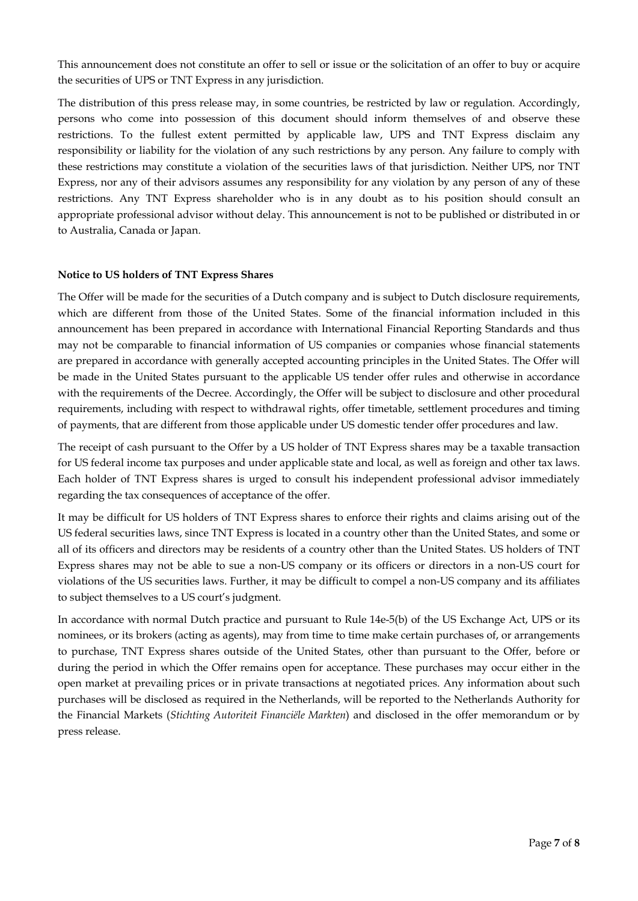This announcement does not constitute an offer to sell or issue or the solicitation of an offer to buy or acquire the securities of UPS or TNT Express in any jurisdiction.

The distribution of this press release may, in some countries, be restricted by law or regulation. Accordingly, persons who come into possession of this document should inform themselves of and observe these restrictions. To the fullest extent permitted by applicable law, UPS and TNT Express disclaim any responsibility or liability for the violation of any such restrictions by any person. Any failure to comply with these restrictions may constitute a violation of the securities laws of that jurisdiction. Neither UPS, nor TNT Express, nor any of their advisors assumes any responsibility for any violation by any person of any of these restrictions. Any TNT Express shareholder who is in any doubt as to his position should consult an appropriate professional advisor without delay. This announcement is not to be published or distributed in or to Australia, Canada or Japan.

#### **Notice to US holders of TNT Express Shares**

The Offer will be made for the securities of a Dutch company and is subject to Dutch disclosure requirements, which are different from those of the United States. Some of the financial information included in this announcement has been prepared in accordance with International Financial Reporting Standards and thus may not be comparable to financial information of US companies or companies whose financial statements are prepared in accordance with generally accepted accounting principles in the United States. The Offer will be made in the United States pursuant to the applicable US tender offer rules and otherwise in accordance with the requirements of the Decree. Accordingly, the Offer will be subject to disclosure and other procedural requirements, including with respect to withdrawal rights, offer timetable, settlement procedures and timing of payments, that are different from those applicable under US domestic tender offer procedures and law.

The receipt of cash pursuant to the Offer by a US holder of TNT Express shares may be a taxable transaction for US federal income tax purposes and under applicable state and local, as well as foreign and other tax laws. Each holder of TNT Express shares is urged to consult his independent professional advisor immediately regarding the tax consequences of acceptance of the offer.

It may be difficult for US holders of TNT Express shares to enforce their rights and claims arising out of the US federal securities laws, since TNT Express is located in a country other than the United States, and some or all of its officers and directors may be residents of a country other than the United States. US holders of TNT Express shares may not be able to sue a non-US company or its officers or directors in a non-US court for violations of the US securities laws. Further, it may be difficult to compel a non-US company and its affiliates to subject themselves to a US court's judgment.

In accordance with normal Dutch practice and pursuant to Rule 14e-5(b) of the US Exchange Act, UPS or its nominees, or its brokers (acting as agents), may from time to time make certain purchases of, or arrangements to purchase, TNT Express shares outside of the United States, other than pursuant to the Offer, before or during the period in which the Offer remains open for acceptance. These purchases may occur either in the open market at prevailing prices or in private transactions at negotiated prices. Any information about such purchases will be disclosed as required in the Netherlands, will be reported to the Netherlands Authority for the Financial Markets (*Stichting Autoriteit Financiële Markten*) and disclosed in the offer memorandum or by press release.